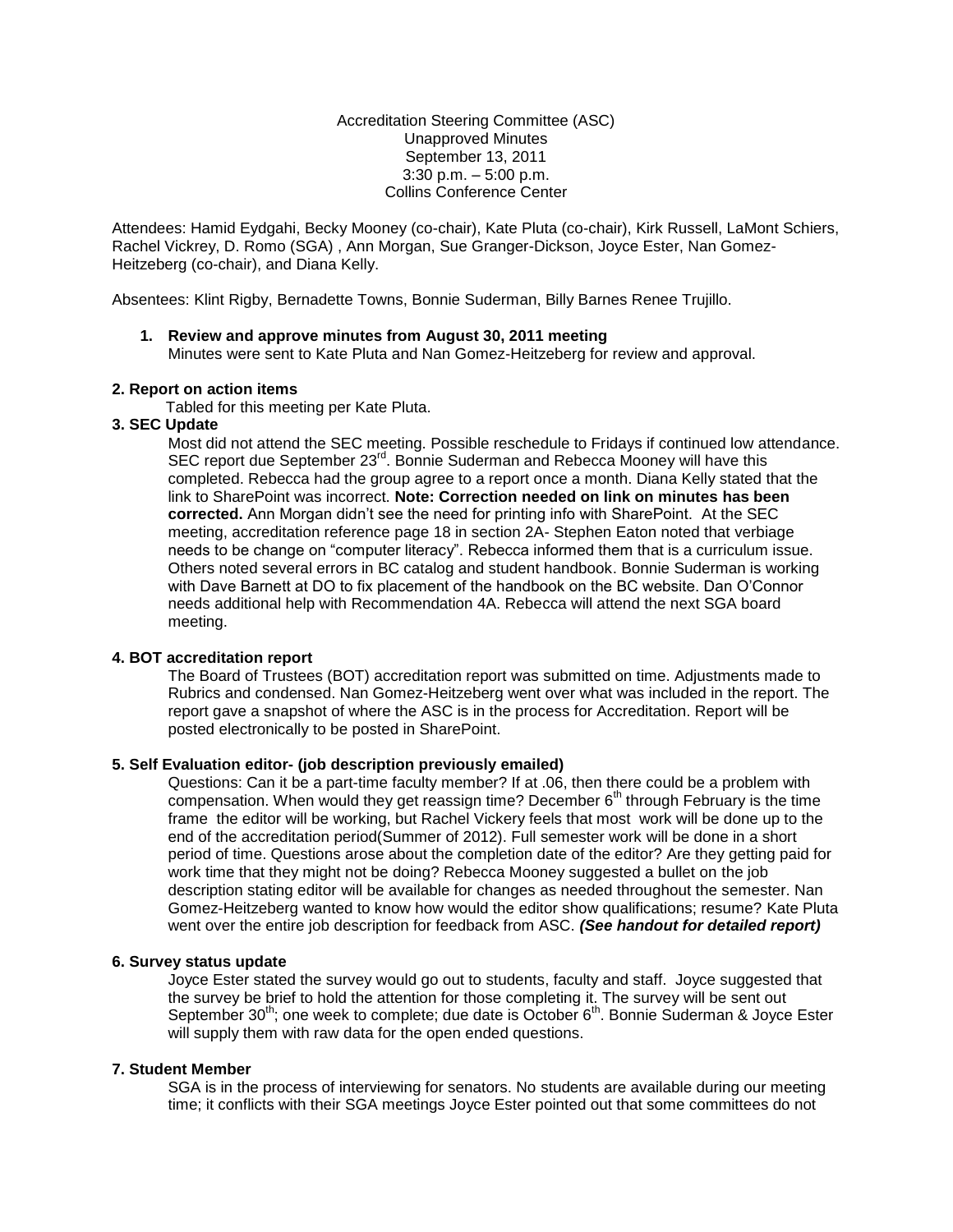### Accreditation Steering Committee (ASC) Unapproved Minutes September 13, 2011 3:30 p.m. – 5:00 p.m. Collins Conference Center

Attendees: Hamid Eydgahi, Becky Mooney (co-chair), Kate Pluta (co-chair), Kirk Russell, LaMont Schiers, Rachel Vickrey, D. Romo (SGA) , Ann Morgan, Sue Granger-Dickson, Joyce Ester, Nan Gomez-Heitzeberg (co-chair), and Diana Kelly.

Absentees: Klint Rigby, Bernadette Towns, Bonnie Suderman, Billy Barnes Renee Trujillo.

## **1. Review and approve minutes from August 30, 2011 meeting**

Minutes were sent to Kate Pluta and Nan Gomez-Heitzeberg for review and approval.

### **2. Report on action items**

Tabled for this meeting per Kate Pluta.

# **3. SEC Update**

Most did not attend the SEC meeting. Possible reschedule to Fridays if continued low attendance. SEC report due September 23<sup>rd</sup>. Bonnie Suderman and Rebecca Mooney will have this completed. Rebecca had the group agree to a report once a month. Diana Kelly stated that the link to SharePoint was incorrect. **Note: Correction needed on link on minutes has been corrected.** Ann Morgan didn't see the need for printing info with SharePoint. At the SEC meeting, accreditation reference page 18 in section 2A- Stephen Eaton noted that verbiage needs to be change on "computer literacy". Rebecca informed them that is a curriculum issue. Others noted several errors in BC catalog and student handbook. Bonnie Suderman is working with Dave Barnett at DO to fix placement of the handbook on the BC website. Dan O'Connor needs additional help with Recommendation 4A. Rebecca will attend the next SGA board meeting.

## **4. BOT accreditation report**

The Board of Trustees (BOT) accreditation report was submitted on time. Adjustments made to Rubrics and condensed. Nan Gomez-Heitzeberg went over what was included in the report. The report gave a snapshot of where the ASC is in the process for Accreditation. Report will be posted electronically to be posted in SharePoint.

#### **5. Self Evaluation editor- (job description previously emailed)**

Questions: Can it be a part-time faculty member? If at .06, then there could be a problem with compensation. When would they get reassign time? December  $6<sup>th</sup>$  through February is the time frame the editor will be working, but Rachel Vickery feels that most work will be done up to the end of the accreditation period(Summer of 2012). Full semester work will be done in a short period of time. Questions arose about the completion date of the editor? Are they getting paid for work time that they might not be doing? Rebecca Mooney suggested a bullet on the job description stating editor will be available for changes as needed throughout the semester. Nan Gomez-Heitzeberg wanted to know how would the editor show qualifications; resume? Kate Pluta went over the entire job description for feedback from ASC. *(See handout for detailed report)* 

#### **6. Survey status update**

Joyce Ester stated the survey would go out to students, faculty and staff. Joyce suggested that the survey be brief to hold the attention for those completing it. The survey will be sent out September 30<sup>th</sup>; one week to complete; due date is October  $6<sup>th</sup>$ . Bonnie Suderman & Joyce Ester will supply them with raw data for the open ended questions.

#### **7. Student Member**

SGA is in the process of interviewing for senators. No students are available during our meeting time; it conflicts with their SGA meetings Joyce Ester pointed out that some committees do not